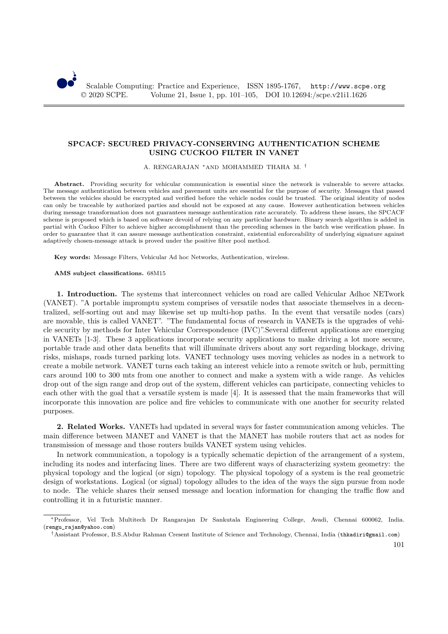# **SPCACF: SECURED PRIVACY-CONSERVING AUTHENTICATION SCHEME USING CUCKOO FILTER IN VANET**

A. RENGARAJAN <sup>∗</sup>AND MOHAMMED THAHA M. †

Abstract. Providing security for vehicular communication is essential since the network is vulnerable to severe attacks. The message authentication between vehicles and pavement units are essential for the purpose of security. Messages that passed between the vehicles should be encrypted and verified before the vehicle nodes could be trusted. The original identity of nodes can only be traceable by authorized parties and should not be exposed at any cause. However authentication between vehicles during message transformation does not guarantees message authentication rate accurately. To address these issues, the SPCACF scheme is proposed which is based on software devoid of relying on any particular hardware. Binary search algorithm is added in partial with Cuckoo Filter to achieve higher accomplishment than the preceding schemes in the batch wise verification phase. In order to guarantee that it can assure message authentication constraint, existential enforceability of underlying signature against adaptively chosen-message attack is proved under the positive filter pool method.

**Key words:** Message Filters, Vehicular Ad hoc Networks, Authentication, wireless.

#### **AMS subject classifications.** 68M15

**1. Introduction.** The systems that interconnect vehicles on road are called Vehicular Adhoc NETwork (VANET). "A portable impromptu system comprises of versatile nodes that associate themselves in a decentralized, self-sorting out and may likewise set up multi-hop paths. In the event that versatile nodes (cars) are movable, this is called VANET". "The fundamental focus of research in VANETs is the upgrades of vehicle security by methods for Inter Vehicular Correspondence (IVC)".Several different applications are emerging in VANETs [1-3]. These 3 applications incorporate security applications to make driving a lot more secure, portable trade and other data benefits that will illuminate drivers about any sort regarding blockage, driving risks, mishaps, roads turned parking lots. VANET technology uses moving vehicles as nodes in a network to create a mobile network. VANET turns each taking an interest vehicle into a remote switch or hub, permitting cars around 100 to 300 mts from one another to connect and make a system with a wide range. As vehicles drop out of the sign range and drop out of the system, different vehicles can participate, connecting vehicles to each other with the goal that a versatile system is made [4]. It is assessed that the main frameworks that will incorporate this innovation are police and fire vehicles to communicate with one another for security related purposes.

**2. Related Works.** VANETs had updated in several ways for faster communication among vehicles. The main difference between MANET and VANET is that the MANET has mobile routers that act as nodes for transmission of message and those routers builds VANET system using vehicles.

In network communication, a topology is a typically schematic depiction of the arrangement of a system, including its nodes and interfacing lines. There are two different ways of characterizing system geometry: the physical topology and the logical (or sign) topology. The physical topology of a system is the real geometric design of workstations. Logical (or signal) topology alludes to the idea of the ways the sign pursue from node to node. The vehicle shares their sensed message and location information for changing the traffic flow and controlling it in a futuristic manner.

<sup>∗</sup>Professor, Vel Tech Multitech Dr Rangarajan Dr Sankutala Engineering College, Avadi, Chennai 600062, India. (rengu\_rajan@yahoo.com)

<sup>†</sup>Assistant Professor, B.S.Abdur Rahman Cresent Institute of Science and Technology, Chennai, India (thkadiri@gmail.com)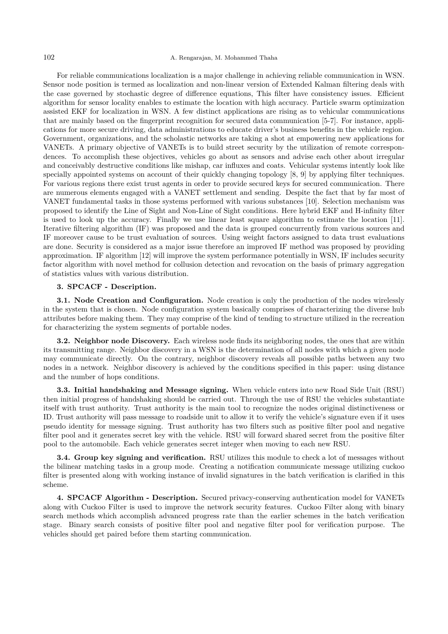# 102 A. Rengarajan, M. Mohammed Thaha

For reliable communications localization is a major challenge in achieving reliable communication in WSN. Sensor node position is termed as localization and non-linear version of Extended Kalman filtering deals with the case governed by stochastic degree of difference equations, This filter have consistency issues. Efficient algorithm for sensor locality enables to estimate the location with high accuracy. Particle swarm optimization assisted EKF for localization in WSN. A few distinct applications are rising as to vehicular communications that are mainly based on the fingerprint recognition for secured data communication [5-7]. For instance, applications for more secure driving, data administrations to educate driver's business benefits in the vehicle region. Government, organizations, and the scholastic networks are taking a shot at empowering new applications for VANETs. A primary objective of VANETs is to build street security by the utilization of remote correspondences. To accomplish these objectives, vehicles go about as sensors and advise each other about irregular and conceivably destructive conditions like mishap, car influxes and coats. Vehicular systems intently look like specially appointed systems on account of their quickly changing topology [8, 9] by applying filter techniques. For various regions there exist trust agents in order to provide secured keys for secured communication. There are numerous elements engaged with a VANET settlement and sending. Despite the fact that by far most of VANET fundamental tasks in those systems performed with various substances [10]. Selection mechanism was proposed to identify the Line of Sight and Non-Line of Sight conditions. Here hybrid EKF and H-infinity filter is used to look up the accuracy. Finally we use linear least square algorithm to estimate the location [11]. Iterative filtering algorithm (IF) was proposed and the data is grouped concurrently from various sources and IF moreover cause to be trust evaluation of sources. Using weight factors assigned to data trust evaluations are done. Security is considered as a major issue therefore an improved IF method was proposed by providing approximation. IF algorithm [12] will improve the system performance potentially in WSN, IF includes security factor algorithm with novel method for collusion detection and revocation on the basis of primary aggregation of statistics values with various distribution.

# **3. SPCACF - Description.**

**3.1. Node Creation and Configuration.** Node creation is only the production of the nodes wirelessly in the system that is chosen. Node configuration system basically comprises of characterizing the diverse hub attributes before making them. They may comprise of the kind of tending to structure utilized in the recreation for characterizing the system segments of portable nodes.

**3.2. Neighbor node Discovery.** Each wireless node finds its neighboring nodes, the ones that are within its transmitting range. Neighbor discovery in a WSN is the determination of all nodes with which a given node may communicate directly. On the contrary, neighbor discovery reveals all possible paths between any two nodes in a network. Neighbor discovery is achieved by the conditions specified in this paper: using distance and the number of hops conditions.

**3.3. Initial handshaking and Message signing.** When vehicle enters into new Road Side Unit (RSU) then initial progress of handshaking should be carried out. Through the use of RSU the vehicles substantiate itself with trust authority. Trust authority is the main tool to recognize the nodes original distinctiveness or ID. Trust authority will pass message to roadside unit to allow it to verify the vehicle's signature even if it uses pseudo identity for message signing. Trust authority has two filters such as positive filter pool and negative filter pool and it generates secret key with the vehicle. RSU will forward shared secret from the positive filter pool to the automobile. Each vehicle generates secret integer when moving to each new RSU.

**3.4. Group key signing and verification.** RSU utilizes this module to check a lot of messages without the bilinear matching tasks in a group mode. Creating a notification communicate message utilizing cuckoo filter is presented along with working instance of invalid signatures in the batch verification is clarified in this scheme.

**4. SPCACF Algorithm - Description.** Secured privacy-conserving authentication model for VANETs along with Cuckoo Filter is used to improve the network security features. Cuckoo Filter along with binary search methods which accomplish advanced progress rate than the earlier schemes in the batch verification stage. Binary search consists of positive filter pool and negative filter pool for verification purpose. The vehicles should get paired before them starting communication.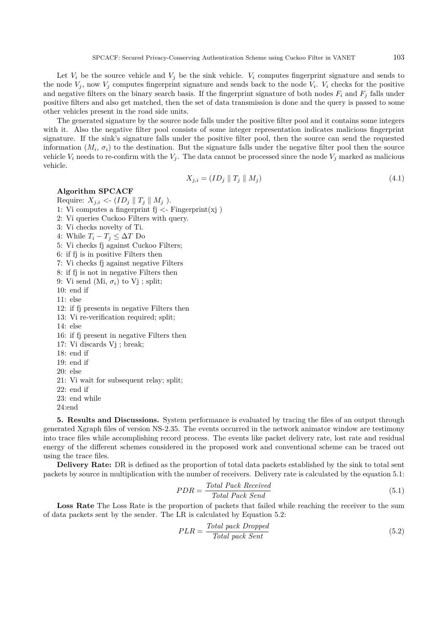Let  $V_i$  be the source vehicle and  $V_j$  be the sink vehicle.  $V_i$  computes fingerprint signature and sends to the node  $V_j$ , now  $V_j$  computes fingerprint signature and sends back to the node  $V_i$ .  $V_i$  checks for the positive and negative filters on the binary search basis. If the fingerprint signature of both nodes  $F_i$  and  $F_j$  falls under positive filters and also get matched, then the set of data transmission is done and the query is passed to some other vehicles present in the road side units.

The generated signature by the source node falls under the positive filter pool and it contains some integers with it. Also the negative filter pool consists of some integer representation indicates malicious fingerprint signature. If the sink's signature falls under the positive filter pool, then the source can send the requested information  $(M_i, \sigma_i)$  to the destination. But the signature falls under the negative filter pool then the source vehicle  $V_i$  needs to re-confirm with the  $V_j$ . The data cannot be processed since the node  $V_j$  marked as malicious vehicle.

$$
X_{j,i} = (ID_j \parallel T_j \parallel M_j) \tag{4.1}
$$

### **Algorithm SPCACF**

Require:  $X_{j,i} < (ID_j || T_j || M_j).$ 

- 1: Vi computes a fingerprint  $f_j \leq Fingerprint(x_j)$
- 2: Vi queries Cuckoo Filters with query.
- 3: Vi checks novelty of Ti.
- 4: While  $T_i T_j \leq \Delta T$  Do
- 5: Vi checks fj against Cuckoo Filters;
- 6: if fj is in positive Filters then
- 7: Vi checks fj against negative Filters
- 8: if fj is not in negative Filters then
- 9: Vi send (Mi,  $\sigma_i$ ) to Vj ; split;
- 10: end if
- 11: else
- 12: if fj presents in negative Filters then
- 13: Vi re-verification required; split;
- 14: else
- 16: if fj present in negative Filters then
- 17: Vi discards Vj ; break;
- 18: end if
- 19: end if
- 20: else
- 21: Vi wait for subsequent relay; split;
- 22: end if
- 23: end while
- 24:end

**5. Results and Discussions.** System performance is evaluated by tracing the files of an output through generated Xgraph files of version NS-2.35. The events occurred in the network animator window are testimony into trace files while accomplishing record process. The events like packet delivery rate, lost rate and residual energy of the different schemes considered in the proposed work and conventional scheme can be traced out using the trace files.

**Delivery Rate:** DR is defined as the proportion of total data packets established by the sink to total sent packets by source in multiplication with the number of receivers. Delivery rate is calculated by the equation 5.1:

$$
PDR = \frac{Total \text{ Pack} \text{Received}}{Total \text{ Pack} \text{ Send}}
$$
\n
$$
\tag{5.1}
$$

Loss Rate The Loss Rate is the proportion of packets that failed while reaching the receiver to the sum of data packets sent by the sender. The LR is calculated by Equation 5.2:

$$
PLR = \frac{Total\ pack\ Dropped}{Total\ pack\ Sent}
$$
\n
$$
(5.2)
$$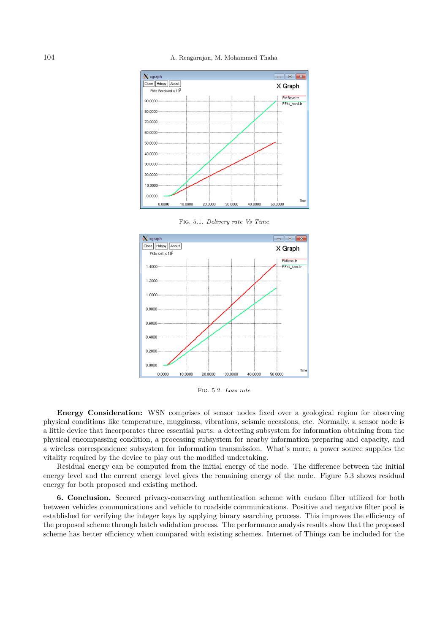104 A. Rengarajan, M. Mohammed Thaha



Fig. 5.1. *Delivery rate Vs Time*



Fig. 5.2. *Loss rate*

**Energy Consideration:** WSN comprises of sensor nodes fixed over a geological region for observing physical conditions like temperature, mugginess, vibrations, seismic occasions, etc. Normally, a sensor node is a little device that incorporates three essential parts: a detecting subsystem for information obtaining from the physical encompassing condition, a processing subsystem for nearby information preparing and capacity, and a wireless correspondence subsystem for information transmission. What's more, a power source supplies the vitality required by the device to play out the modified undertaking.

Residual energy can be computed from the initial energy of the node. The difference between the initial energy level and the current energy level gives the remaining energy of the node. Figure 5.3 shows residual energy for both proposed and existing method.

**6. Conclusion.** Secured privacy-conserving authentication scheme with cuckoo filter utilized for both between vehicles communications and vehicle to roadside communications. Positive and negative filter pool is established for verifying the integer keys by applying binary searching process. This improves the efficiency of the proposed scheme through batch validation process. The performance analysis results show that the proposed scheme has better efficiency when compared with existing schemes. Internet of Things can be included for the